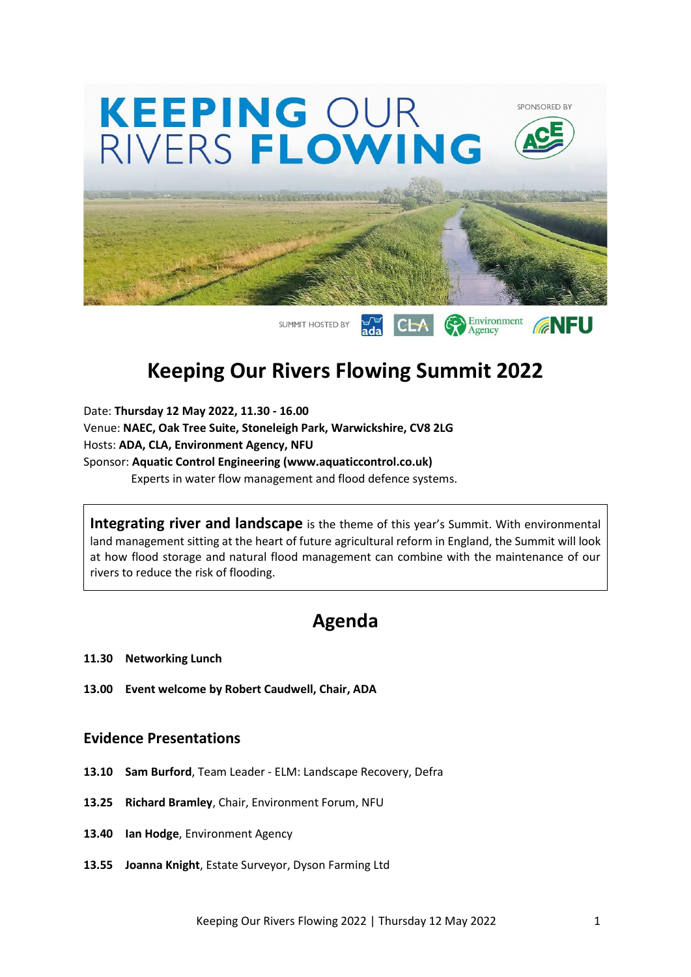

## **Keeping Our Rivers Flowing Summit 2022**

Date: **Thursday 12 May 2022, 11.30 - 16.00** Venue: **NAEC, Oak Tree Suite, Stoneleigh Park, Warwickshire, CV8 2LG** Hosts: **ADA, CLA, Environment Agency, NFU** Sponsor: **Aquatic Control Engineering (www.aquaticcontrol.co.uk)** Experts in water flow management and flood defence systems.

**Integrating river and landscape** is the theme of this year's Summit. With environmental land management sitting at the heart of future agricultural reform in England, the Summit will look at how flood storage and natural flood management can combine with the maintenance of our rivers to reduce the risk of flooding.

### **Agenda**

- **11.30 Networking Lunch**
- **13.00 Event welcome by Robert Caudwell, Chair, ADA**

#### **Evidence Presentations**

- **13.10 Sam Burford**, Team Leader ELM: Landscape Recovery, Defra
- **13.25 Richard Bramley**, Chair, Environment Forum, NFU
- **13.40 Ian Hodge**, Environment Agency
- **13.55 Joanna Knight**, Estate Surveyor, Dyson Farming Ltd